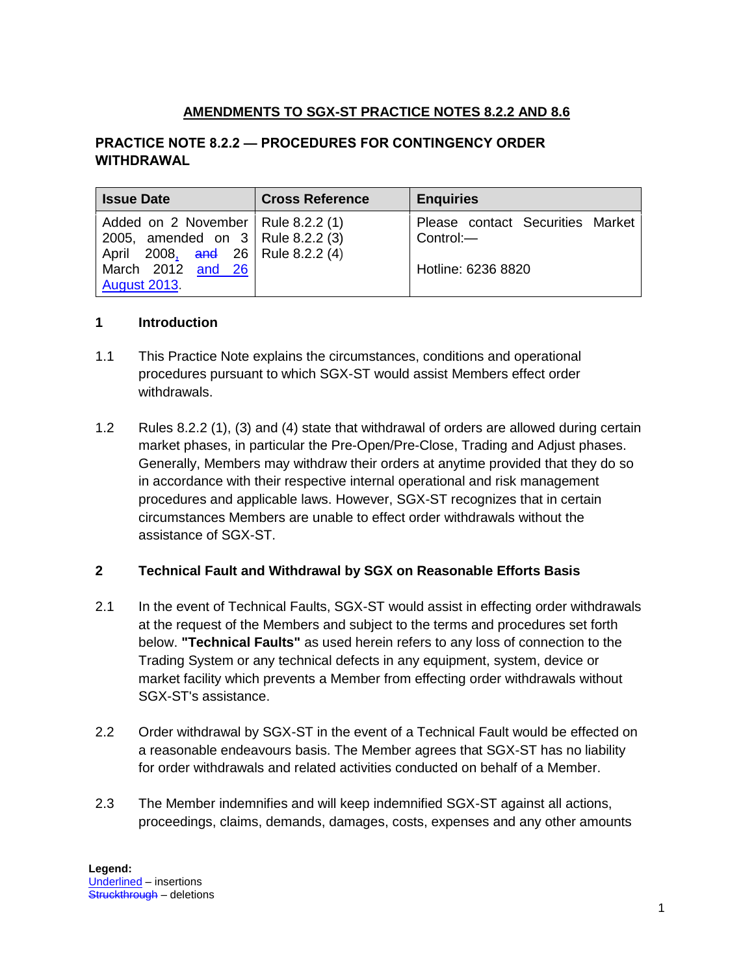# **AMENDMENTS TO SGX-ST PRACTICE NOTES 8.2.2 AND 8.6**

### **PRACTICE NOTE 8.2.2 — PROCEDURES FOR CONTINGENCY ORDER WITHDRAWAL**

| <b>Issue Date</b>                                                                                                                                              | <b>Cross Reference</b> | <b>Enquiries</b>                                                    |
|----------------------------------------------------------------------------------------------------------------------------------------------------------------|------------------------|---------------------------------------------------------------------|
| Added on 2 November   Rule 8.2.2 (1)<br>2005, amended on 3   Rule 8.2.2 (3)<br>April 2008, and 26   Rule 8.2.2 (4)<br>March 2012 and 26<br><b>August 2013.</b> |                        | Please contact Securities Market<br>Control:—<br>Hotline: 6236 8820 |

#### **1 Introduction**

- 1.1 This Practice Note explains the circumstances, conditions and operational procedures pursuant to which SGX-ST would assist Members effect order withdrawals.
- 1.2 Rules [8.2.2](http://rulebook.sgx.com/en/display/display.html?rbid=3271&element_id=1099) (1), (3) and (4) state that withdrawal of orders are allowed during certain market phases, in particular the Pre-Open/Pre-Close, Trading and Adjust phases. Generally, Members may withdraw their orders at anytime provided that they do so in accordance with their respective internal operational and risk management procedures and applicable laws. However, SGX-ST recognizes that in certain circumstances Members are unable to effect order withdrawals without the assistance of SGX-ST.

### **2 Technical Fault and Withdrawal by SGX on Reasonable Efforts Basis**

- 2.1 In the event of Technical Faults, SGX-ST would assist in effecting order withdrawals at the request of the Members and subject to the terms and procedures set forth below. **"Technical Faults"** as used herein refers to any loss of connection to the Trading System or any technical defects in any equipment, system, device or market facility which prevents a Member from effecting order withdrawals without SGX-ST's assistance.
- 2.2 Order withdrawal by SGX-ST in the event of a Technical Fault would be effected on a reasonable endeavours basis. The Member agrees that SGX-ST has no liability for order withdrawals and related activities conducted on behalf of a Member.
- 2.3 The Member indemnifies and will keep indemnified SGX-ST against all actions, proceedings, claims, demands, damages, costs, expenses and any other amounts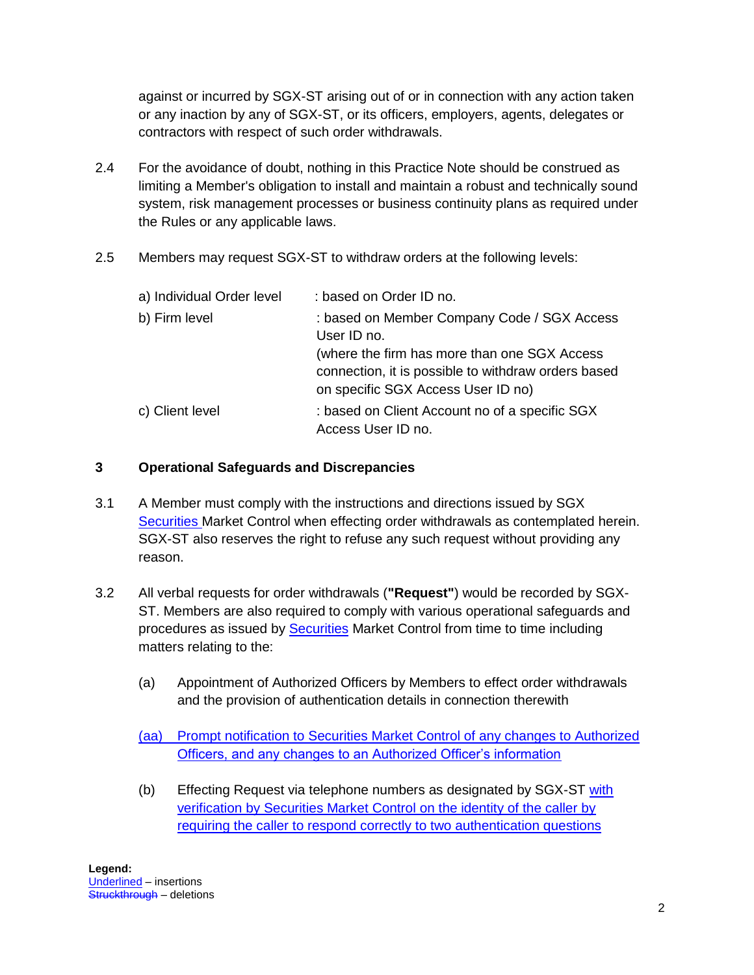against or incurred by SGX-ST arising out of or in connection with any action taken or any inaction by any of SGX-ST, or its officers, employers, agents, delegates or contractors with respect of such order withdrawals.

- 2.4 For the avoidance of doubt, nothing in this Practice Note should be construed as limiting a Member's obligation to install and maintain a robust and technically sound system, risk management processes or business continuity plans as required under the Rules or any applicable laws.
- 2.5 Members may request SGX-ST to withdraw orders at the following levels:

| a) Individual Order level | : based on Order ID no.                                                                                    |
|---------------------------|------------------------------------------------------------------------------------------------------------|
| b) Firm level             | : based on Member Company Code / SGX Access<br>User ID no.<br>(where the firm has more than one SGX Access |
|                           | connection, it is possible to withdraw orders based<br>on specific SGX Access User ID no)                  |
| c) Client level           | : based on Client Account no of a specific SGX<br>Access User ID no.                                       |

## **3 Operational Safeguards and Discrepancies**

- 3.1 A Member must comply with the instructions and directions issued by SGX Securities Market Control when effecting order withdrawals as contemplated herein. SGX-ST also reserves the right to refuse any such request without providing any reason.
- 3.2 All verbal requests for order withdrawals (**"Request"**) would be recorded by SGX-ST. Members are also required to comply with various operational safeguards and procedures as issued by **Securities** Market Control from time to time including matters relating to the:
	- (a) Appointment of Authorized Officers by Members to effect order withdrawals and the provision of authentication details in connection therewith

(aa) Prompt notification to Securities Market Control of any changes to Authorized Officers, and any changes to an Authorized Officer's information

(b) Effecting Request via telephone numbers as designated by SGX-ST with verification by Securities Market Control on the identity of the caller by requiring the caller to respond correctly to two authentication questions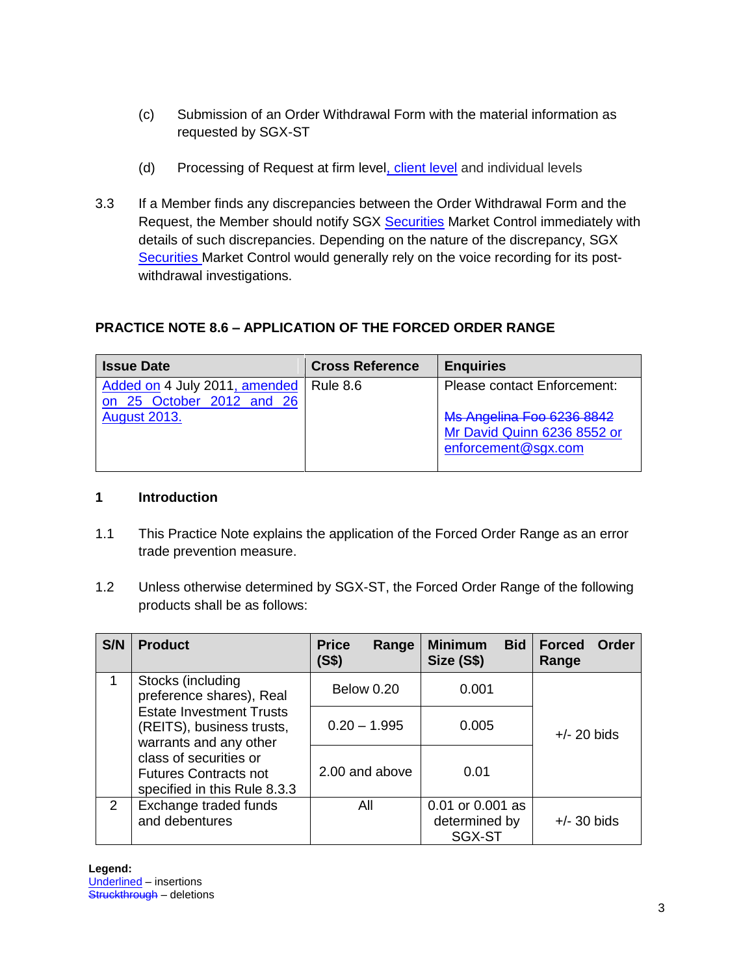- (c) Submission of an Order Withdrawal Form with the material information as requested by SGX-ST
- (d) Processing of Request at firm level, client level and individual levels
- 3.3 If a Member finds any discrepancies between the Order Withdrawal Form and the Request, the Member should notify SGX Securities Market Control immediately with details of such discrepancies. Depending on the nature of the discrepancy, SGX Securities Market Control would generally rely on the voice recording for its postwithdrawal investigations.

# **PRACTICE NOTE 8.6 – APPLICATION OF THE FORCED ORDER RANGE**

| <b>Issue Date</b>                                                     | <b>Cross Reference</b> | <b>Enquiries</b>                                                                       |
|-----------------------------------------------------------------------|------------------------|----------------------------------------------------------------------------------------|
| Added on 4 July 2011, amended   Rule 8.6<br>on 25 October 2012 and 26 |                        | <b>Please contact Enforcement:</b>                                                     |
| <b>August 2013.</b>                                                   |                        | <b>Ms Angelina Foo 6236 8842</b><br>Mr David Quinn 6236 8552 or<br>enforcement@sgx.com |

### **1 Introduction**

- 1.1 This Practice Note explains the application of the Forced Order Range as an error trade prevention measure.
- 1.2 Unless otherwise determined by SGX-ST, the Forced Order Range of the following products shall be as follows:

| S/N                                                                                    | <b>Product</b>                                                                                                                          | <b>Price</b><br>Range<br>(S\$) | <b>Minimum</b><br><b>Bid</b><br>Size (S\$)  | <b>Forced</b><br>Order<br>Range |
|----------------------------------------------------------------------------------------|-----------------------------------------------------------------------------------------------------------------------------------------|--------------------------------|---------------------------------------------|---------------------------------|
| 1                                                                                      | Stocks (including<br>preference shares), Real<br><b>Estate Investment Trusts</b><br>(REITS), business trusts,<br>warrants and any other | <b>Below 0.20</b>              | 0.001                                       |                                 |
|                                                                                        |                                                                                                                                         | $0.20 - 1.995$                 | 0.005                                       | $+/- 20$ bids                   |
| class of securities or<br><b>Futures Contracts not</b><br>specified in this Rule 8.3.3 | 2.00 and above                                                                                                                          | 0.01                           |                                             |                                 |
| 2                                                                                      | Exchange traded funds<br>and debentures                                                                                                 | All                            | 0.01 or 0.001 as<br>determined by<br>SGX-ST | $+/-$ 30 bids                   |